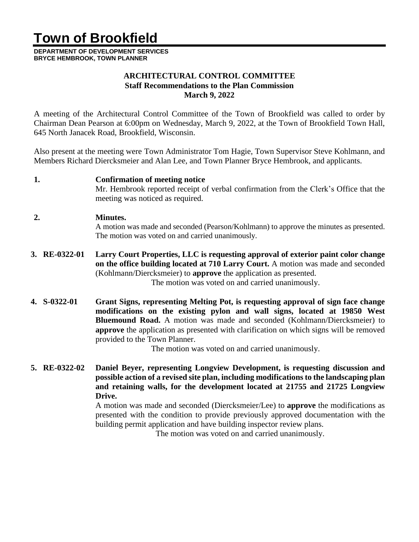# **Town of Brookfield**

**DEPARTMENT OF DEVELOPMENT SERVICES BRYCE HEMBROOK, TOWN PLANNER**

#### **ARCHITECTURAL CONTROL COMMITTEE Staff Recommendations to the Plan Commission March 9, 2022**

A meeting of the Architectural Control Committee of the Town of Brookfield was called to order by Chairman Dean Pearson at 6:00pm on Wednesday, March 9, 2022, at the Town of Brookfield Town Hall, 645 North Janacek Road, Brookfield, Wisconsin.

Also present at the meeting were Town Administrator Tom Hagie, Town Supervisor Steve Kohlmann, and Members Richard Diercksmeier and Alan Lee, and Town Planner Bryce Hembrook, and applicants.

#### **1. Confirmation of meeting notice**

Mr. Hembrook reported receipt of verbal confirmation from the Clerk's Office that the meeting was noticed as required.

#### **2. Minutes.**

A motion was made and seconded (Pearson/Kohlmann) to approve the minutes as presented. The motion was voted on and carried unanimously.

**3. RE-0322-01 Larry Court Properties, LLC is requesting approval of exterior paint color change on the office building located at 710 Larry Court.** A motion was made and seconded (Kohlmann/Diercksmeier) to **approve** the application as presented.

The motion was voted on and carried unanimously.

**4. S-0322-01 Grant Signs, representing Melting Pot, is requesting approval of sign face change modifications on the existing pylon and wall signs, located at 19850 West Bluemound Road.** A motion was made and seconded (Kohlmann/Diercksmeier) to **approve** the application as presented with clarification on which signs will be removed provided to the Town Planner.

The motion was voted on and carried unanimously.

**5. RE-0322-02 Daniel Beyer, representing Longview Development, is requesting discussion and possible action of a revised site plan, including modificationsto the landscaping plan and retaining walls, for the development located at 21755 and 21725 Longview Drive.**

A motion was made and seconded (Diercksmeier/Lee) to **approve** the modifications as presented with the condition to provide previously approved documentation with the building permit application and have building inspector review plans.

The motion was voted on and carried unanimously.